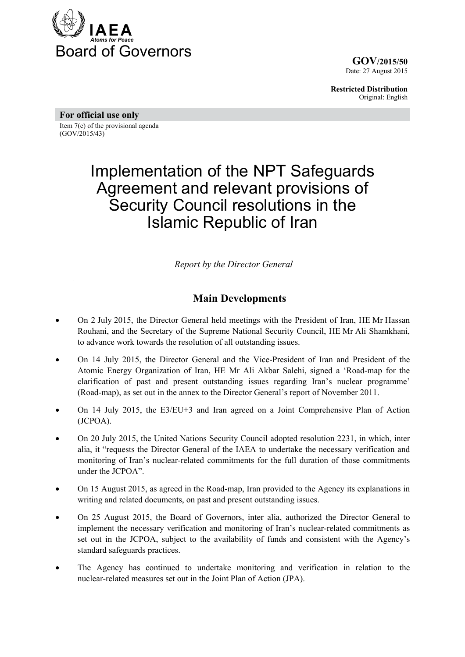

**GOV/2015/50** Date: 27 August 2015

**Restricted Distribution** Original: English

**For official use only** 

Item 7(c) of the provisional agenda (GOV/2015/43)

# Implementation of the NPT Safeguards Agreement and relevant provisions of Security Council resolutions in the Islamic Republic of Iran

*Report by the Director General* 

## **Main Developments**

- On 2 July 2015, the Director General held meetings with the President of Iran, HE Mr Hassan Rouhani, and the Secretary of the Supreme National Security Council, HE Mr Ali Shamkhani, to advance work towards the resolution of all outstanding issues.
- On 14 July 2015, the Director General and the Vice-President of Iran and President of the Atomic Energy Organization of Iran, HE Mr Ali Akbar Salehi, signed a 'Road-map for the clarification of past and present outstanding issues regarding Iran's nuclear programme' (Road-map), as set out in the annex to the Director General's report of November 2011.
- On 14 July 2015, the E3/EU+3 and Iran agreed on a Joint Comprehensive Plan of Action (JCPOA).
- On 20 July 2015, the United Nations Security Council adopted resolution 2231, in which, inter alia, it "requests the Director General of the IAEA to undertake the necessary verification and monitoring of Iran's nuclear-related commitments for the full duration of those commitments under the JCPOA".
- On 15 August 2015, as agreed in the Road-map, Iran provided to the Agency its explanations in writing and related documents, on past and present outstanding issues.
- On 25 August 2015, the Board of Governors, inter alia, authorized the Director General to implement the necessary verification and monitoring of Iran's nuclear-related commitments as set out in the JCPOA, subject to the availability of funds and consistent with the Agency's standard safeguards practices.
- The Agency has continued to undertake monitoring and verification in relation to the nuclear-related measures set out in the Joint Plan of Action (JPA).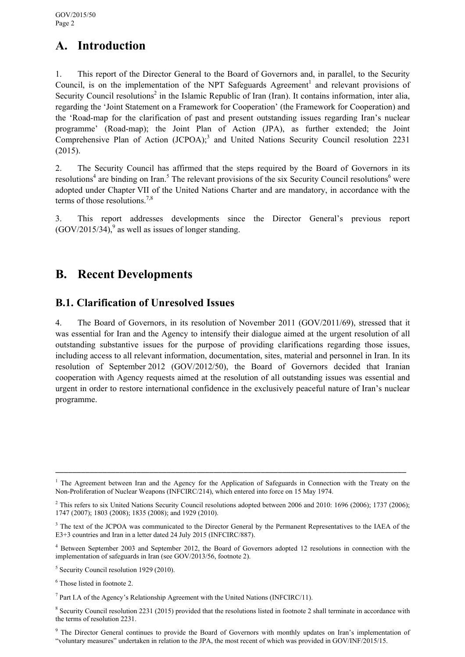# **A. Introduction**

1. This report of the Director General to the Board of Governors and, in parallel, to the Security Council, is on the implementation of the NPT Safeguards Agreement<sup>1</sup> and relevant provisions of Security Council resolutions<sup>2</sup> in the Islamic Republic of Iran (Iran). It contains information, inter alia, regarding the 'Joint Statement on a Framework for Cooperation' (the Framework for Cooperation) and the 'Road-map for the clarification of past and present outstanding issues regarding Iran's nuclear programme' (Road-map); the Joint Plan of Action (JPA), as further extended; the Joint Comprehensive Plan of Action (JCPOA);<sup>3</sup> and United Nations Security Council resolution 2231 (2015).

2. The Security Council has affirmed that the steps required by the Board of Governors in its resolutions<sup>4</sup> are binding on Iran.<sup>5</sup> The relevant provisions of the six Security Council resolutions<sup>6</sup> were adopted under Chapter VII of the United Nations Charter and are mandatory, in accordance with the terms of those resolutions.<sup>7,8</sup>

3. This report addresses developments since the Director General's previous report  $(GOV/2015/34)$ , as well as issues of longer standing.

# **B. Recent Developments**

### **B.1. Clarification of Unresolved Issues**

4. The Board of Governors, in its resolution of November 2011 (GOV/2011/69), stressed that it was essential for Iran and the Agency to intensify their dialogue aimed at the urgent resolution of all outstanding substantive issues for the purpose of providing clarifications regarding those issues, including access to all relevant information, documentation, sites, material and personnel in Iran. In its resolution of September 2012 (GOV/2012/50), the Board of Governors decided that Iranian cooperation with Agency requests aimed at the resolution of all outstanding issues was essential and urgent in order to restore international confidence in the exclusively peaceful nature of Iran's nuclear programme.

<sup>&</sup>lt;sup>1</sup> The Agreement between Iran and the Agency for the Application of Safeguards in Connection with the Treaty on the Non-Proliferation of Nuclear Weapons (INFCIRC/214), which entered into force on 15 May 1974.

<sup>&</sup>lt;sup>2</sup> This refers to six United Nations Security Council resolutions adopted between 2006 and 2010: 1696 (2006); 1737 (2006); 1747 (2007); 1803 (2008); 1835 (2008); and 1929 (2010).

<sup>&</sup>lt;sup>3</sup> The text of the JCPOA was communicated to the Director General by the Permanent Representatives to the IAEA of the E3+3 countries and Iran in a letter dated 24 July 2015 (INFCIRC/887).

<sup>4</sup> Between September 2003 and September 2012, the Board of Governors adopted 12 resolutions in connection with the implementation of safeguards in Iran (see GOV/2013/56, footnote 2).

<sup>&</sup>lt;sup>5</sup> Security Council resolution 1929 (2010).

<sup>6</sup> Those listed in footnote 2.

<sup>&</sup>lt;sup>7</sup> Part I.A of the Agency's Relationship Agreement with the United Nations (INFCIRC/11).

<sup>&</sup>lt;sup>8</sup> Security Council resolution 2231 (2015) provided that the resolutions listed in footnote 2 shall terminate in accordance with the terms of resolution 2231.

<sup>&</sup>lt;sup>9</sup> The Director General continues to provide the Board of Governors with monthly updates on Iran's implementation of "voluntary measures" undertaken in relation to the JPA, the most recent of which was provided in GOV/INF/2015/15.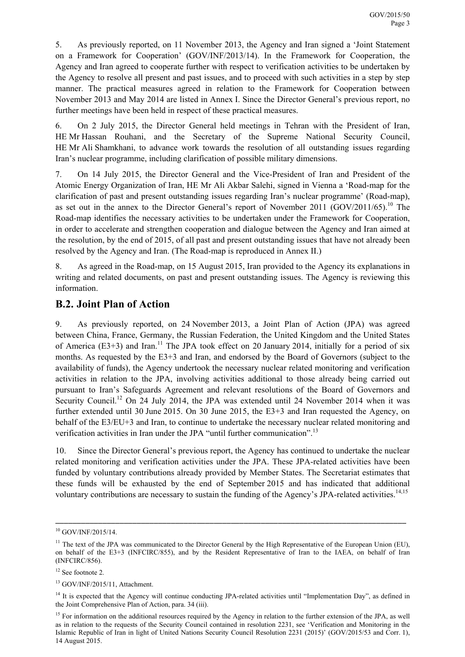5. As previously reported, on 11 November 2013, the Agency and Iran signed a 'Joint Statement on a Framework for Cooperation' (GOV/INF/2013/14). In the Framework for Cooperation, the Agency and Iran agreed to cooperate further with respect to verification activities to be undertaken by the Agency to resolve all present and past issues, and to proceed with such activities in a step by step manner. The practical measures agreed in relation to the Framework for Cooperation between November 2013 and May 2014 are listed in Annex I. Since the Director General's previous report, no further meetings have been held in respect of these practical measures.

6. On 2 July 2015, the Director General held meetings in Tehran with the President of Iran, HE Mr Hassan Rouhani, and the Secretary of the Supreme National Security Council, HE Mr Ali Shamkhani, to advance work towards the resolution of all outstanding issues regarding Iran's nuclear programme, including clarification of possible military dimensions.

7. On 14 July 2015, the Director General and the Vice-President of Iran and President of the Atomic Energy Organization of Iran, HE Mr Ali Akbar Salehi, signed in Vienna a 'Road-map for the clarification of past and present outstanding issues regarding Iran's nuclear programme' (Road-map), as set out in the annex to the Director General's report of November 2011 (GOV/2011/65).<sup>10</sup> The Road-map identifies the necessary activities to be undertaken under the Framework for Cooperation, in order to accelerate and strengthen cooperation and dialogue between the Agency and Iran aimed at the resolution, by the end of 2015, of all past and present outstanding issues that have not already been resolved by the Agency and Iran. (The Road-map is reproduced in Annex II.)

8. As agreed in the Road-map, on 15 August 2015, Iran provided to the Agency its explanations in writing and related documents, on past and present outstanding issues. The Agency is reviewing this information.

### **B.2. Joint Plan of Action**

9. As previously reported, on 24 November 2013, a Joint Plan of Action (JPA) was agreed between China, France, Germany, the Russian Federation, the United Kingdom and the United States of America ( $E3+3$ ) and Iran.<sup>11</sup> The JPA took effect on 20 January 2014, initially for a period of six months. As requested by the E3+3 and Iran, and endorsed by the Board of Governors (subject to the availability of funds), the Agency undertook the necessary nuclear related monitoring and verification activities in relation to the JPA, involving activities additional to those already being carried out pursuant to Iran's Safeguards Agreement and relevant resolutions of the Board of Governors and Security Council.<sup>12</sup> On 24 July 2014, the JPA was extended until 24 November 2014 when it was further extended until 30 June 2015. On 30 June 2015, the E3+3 and Iran requested the Agency, on behalf of the E3/EU+3 and Iran, to continue to undertake the necessary nuclear related monitoring and verification activities in Iran under the JPA "until further communication".<sup>13</sup>

10. Since the Director General's previous report, the Agency has continued to undertake the nuclear related monitoring and verification activities under the JPA. These JPA-related activities have been funded by voluntary contributions already provided by Member States. The Secretariat estimates that these funds will be exhausted by the end of September 2015 and has indicated that additional voluntary contributions are necessary to sustain the funding of the Agency's JPA-related activities.<sup>14,15</sup>

<sup>10</sup> GOV/INF/2015/14.

 $11$  The text of the JPA was communicated to the Director General by the High Representative of the European Union (EU). on behalf of the E3+3 (INFCIRC/855), and by the Resident Representative of Iran to the IAEA, on behalf of Iran (INFCIRC/856).

 $12$  See footnote 2.

<sup>13</sup> GOV/INF/2015/11, Attachment.

 $14$  It is expected that the Agency will continue conducting JPA-related activities until "Implementation Day", as defined in the Joint Comprehensive Plan of Action, para. 34 (iii).

<sup>&</sup>lt;sup>15</sup> For information on the additional resources required by the Agency in relation to the further extension of the JPA, as well as in relation to the requests of the Security Council contained in resolution 2231, see 'Verification and Monitoring in the Islamic Republic of Iran in light of United Nations Security Council Resolution 2231 (2015)' (GOV/2015/53 and Corr. 1), 14 August 2015.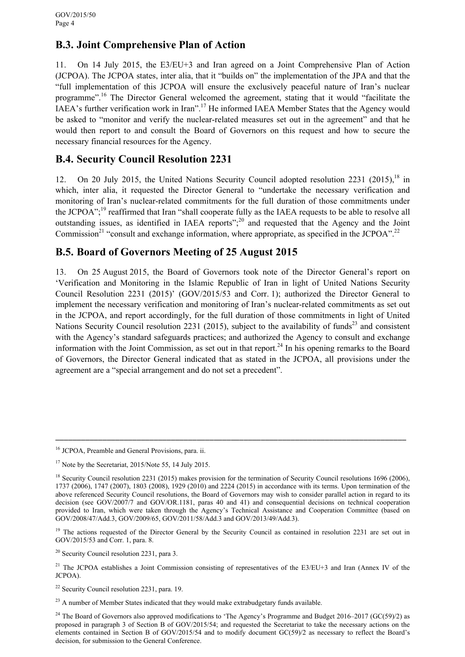### **B.3. Joint Comprehensive Plan of Action**

11. On 14 July 2015, the E3/EU+3 and Iran agreed on a Joint Comprehensive Plan of Action (JCPOA). The JCPOA states, inter alia, that it "builds on" the implementation of the JPA and that the "full implementation of this JCPOA will ensure the exclusively peaceful nature of Iran's nuclear programme".<sup>16</sup> The Director General welcomed the agreement, stating that it would "facilitate the IAEA's further verification work in Iran".<sup>17</sup> He informed IAEA Member States that the Agency would be asked to "monitor and verify the nuclear-related measures set out in the agreement" and that he would then report to and consult the Board of Governors on this request and how to secure the necessary financial resources for the Agency.

### **B.4. Security Council Resolution 2231**

12. On 20 July 2015, the United Nations Security Council adopted resolution 2231 (2015),  $18 \text{ in}$ which, inter alia, it requested the Director General to "undertake the necessary verification and monitoring of Iran's nuclear-related commitments for the full duration of those commitments under the JCPOA";<sup>19</sup> reaffirmed that Iran "shall cooperate fully as the IAEA requests to be able to resolve all outstanding issues, as identified in IAEA reports";<sup>20</sup> and requested that the Agency and the Joint Commission<sup>21</sup> "consult and exchange information, where appropriate, as specified in the JCPOA".<sup>22</sup>

### **B.5. Board of Governors Meeting of 25 August 2015**

13. On 25 August 2015, the Board of Governors took note of the Director General's report on 'Verification and Monitoring in the Islamic Republic of Iran in light of United Nations Security Council Resolution 2231 (2015)' (GOV/2015/53 and Corr. 1); authorized the Director General to implement the necessary verification and monitoring of Iran's nuclear-related commitments as set out in the JCPOA, and report accordingly, for the full duration of those commitments in light of United Nations Security Council resolution 2231 (2015), subject to the availability of funds<sup>23</sup> and consistent with the Agency's standard safeguards practices; and authorized the Agency to consult and exchange information with the Joint Commission, as set out in that report.<sup>24</sup> In his opening remarks to the Board of Governors, the Director General indicated that as stated in the JCPOA, all provisions under the agreement are a "special arrangement and do not set a precedent".

<sup>&</sup>lt;sup>16</sup> JCPOA, Preamble and General Provisions, para. ii.

 $17$  Note by the Secretariat, 2015/Note 55, 14 July 2015.

<sup>&</sup>lt;sup>18</sup> Security Council resolution 2231 (2015) makes provision for the termination of Security Council resolutions 1696 (2006), 1737 (2006), 1747 (2007), 1803 (2008), 1929 (2010) and 2224 (2015) in accordance with its terms. Upon termination of the above referenced Security Council resolutions, the Board of Governors may wish to consider parallel action in regard to its decision (see GOV/2007/7 and GOV/OR.1181, paras 40 and 41) and consequential decisions on technical cooperation provided to Iran, which were taken through the Agency's Technical Assistance and Cooperation Committee (based on GOV/2008/47/Add.3, GOV/2009/65, GOV/2011/58/Add.3 and GOV/2013/49/Add.3).

<sup>&</sup>lt;sup>19</sup> The actions requested of the Director General by the Security Council as contained in resolution 2231 are set out in GOV/2015/53 and Corr. 1, para. 8.

<sup>20</sup> Security Council resolution 2231, para 3.

<sup>&</sup>lt;sup>21</sup> The JCPOA establishes a Joint Commission consisting of representatives of the E3/EU+3 and Iran (Annex IV of the JCPOA).

<sup>22</sup> Security Council resolution 2231, para. 19.

<sup>&</sup>lt;sup>23</sup> A number of Member States indicated that they would make extrabudgetary funds available.

<sup>&</sup>lt;sup>24</sup> The Board of Governors also approved modifications to 'The Agency's Programme and Budget 2016–2017 (GC(59)/2) as proposed in paragraph 3 of Section B of GOV/2015/54; and requested the Secretariat to take the necessary actions on the elements contained in Section B of GOV/2015/54 and to modify document GC(59)/2 as necessary to reflect the Board's decision, for submission to the General Conference.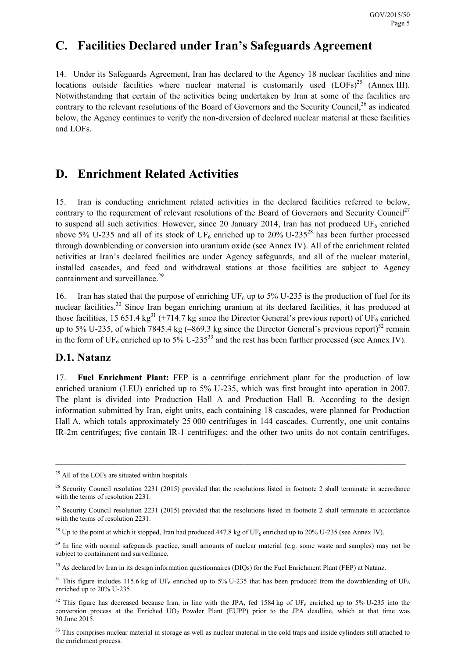# **C. Facilities Declared under Iran's Safeguards Agreement**

14. Under its Safeguards Agreement, Iran has declared to the Agency 18 nuclear facilities and nine locations outside facilities where nuclear material is customarily used  $(LOFs)^{25}$  (Annex III). Notwithstanding that certain of the activities being undertaken by Iran at some of the facilities are contrary to the relevant resolutions of the Board of Governors and the Security Council,<sup>26</sup> as indicated below, the Agency continues to verify the non-diversion of declared nuclear material at these facilities and LOFs.

## **D. Enrichment Related Activities**

15. Iran is conducting enrichment related activities in the declared facilities referred to below, contrary to the requirement of relevant resolutions of the Board of Governors and Security Council<sup>27</sup> to suspend all such activities. However, since 20 January 2014, Iran has not produced  $UF_6$  enriched above 5% U-235 and all of its stock of UF<sub>6</sub> enriched up to 20% U-235<sup>28</sup> has been further processed through downblending or conversion into uranium oxide (see Annex IV). All of the enrichment related activities at Iran's declared facilities are under Agency safeguards, and all of the nuclear material, installed cascades, and feed and withdrawal stations at those facilities are subject to Agency containment and surveillance.<sup>29</sup>

16. Iran has stated that the purpose of enriching UF<sub>6</sub> up to 5% U-235 is the production of fuel for its nuclear facilities.<sup>30</sup> Since Iran began enriching uranium at its declared facilities, it has produced at those facilities, 15 651.4 kg<sup>31</sup> (+714.7 kg since the Director General's previous report) of UF<sub>6</sub> enriched up to 5% U-235, of which 7845.4 kg  $(-869.3 \text{ kg since the Director General's previous report})^{32}$  remain in the form of  $UF_6$  enriched up to 5% U-235<sup>33</sup> and the rest has been further processed (see Annex IV).

### **D.1. Natanz**

17. **Fuel Enrichment Plant:** FEP is a centrifuge enrichment plant for the production of low enriched uranium (LEU) enriched up to 5% U-235, which was first brought into operation in 2007. The plant is divided into Production Hall A and Production Hall B. According to the design information submitted by Iran, eight units, each containing 18 cascades, were planned for Production Hall A, which totals approximately 25 000 centrifuges in 144 cascades. Currently, one unit contains IR-2m centrifuges; five contain IR-1 centrifuges; and the other two units do not contain centrifuges.

 $25$  All of the LOFs are situated within hospitals.

 $26$  Security Council resolution 2231 (2015) provided that the resolutions listed in footnote 2 shall terminate in accordance with the terms of resolution 2231.

 $27$  Security Council resolution 2231 (2015) provided that the resolutions listed in footnote 2 shall terminate in accordance with the terms of resolution 2231.

<sup>&</sup>lt;sup>28</sup> Up to the point at which it stopped, Iran had produced  $447.8$  kg of UF<sub>6</sub> enriched up to 20% U-235 (see Annex IV).

<sup>&</sup>lt;sup>29</sup> In line with normal safeguards practice, small amounts of nuclear material (e.g. some waste and samples) may not be subject to containment and surveillance.

<sup>&</sup>lt;sup>30</sup> As declared by Iran in its design information questionnaires (DIQs) for the Fuel Enrichment Plant (FEP) at Natanz.

<sup>&</sup>lt;sup>31</sup> This figure includes 115.6 kg of UF<sub>6</sub> enriched up to 5% U-235 that has been produced from the downblending of UF<sub>6</sub> enriched up to 20% U-235.

<sup>&</sup>lt;sup>32</sup> This figure has decreased because Iran, in line with the JPA, fed 1584 kg of UF<sub>6</sub> enriched up to 5% U-235 into the conversion process at the Enriched UO<sub>2</sub> Powder Plant (EUPP) prior to the JPA deadline, which at that time was 30 June 2015.

<sup>&</sup>lt;sup>33</sup> This comprises nuclear material in storage as well as nuclear material in the cold traps and inside cylinders still attached to the enrichment process.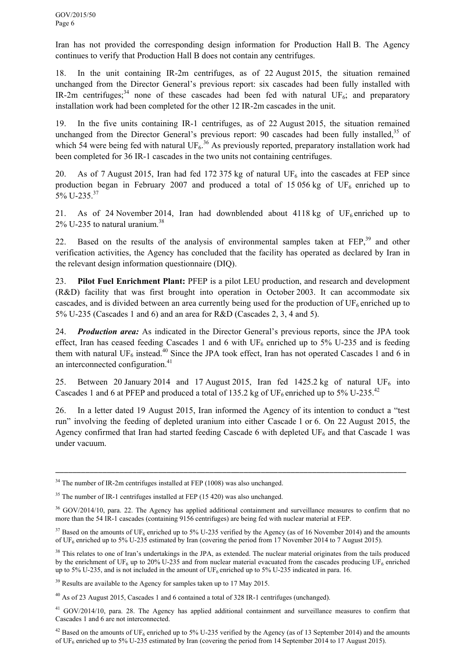Iran has not provided the corresponding design information for Production Hall B. The Agency continues to verify that Production Hall B does not contain any centrifuges.

18. In the unit containing IR-2m centrifuges, as of 22 August 2015, the situation remained unchanged from the Director General's previous report: six cascades had been fully installed with IR-2m centrifuges;<sup>34</sup> none of these cascades had been fed with natural UF<sub>6</sub>; and preparatory installation work had been completed for the other 12 IR-2m cascades in the unit.

19. In the five units containing IR-1 centrifuges, as of 22 August 2015, the situation remained unchanged from the Director General's previous report: 90 cascades had been fully installed.<sup>35</sup> of which 54 were being fed with natural  $UF_6$ <sup>36</sup> As previously reported, preparatory installation work had been completed for 36 IR-1 cascades in the two units not containing centrifuges.

20. As of 7 August 2015, Iran had fed 172 375 kg of natural UF<sub>6</sub> into the cascades at FEP since production began in February 2007 and produced a total of 15 056 kg of UF<sub>6</sub> enriched up to 5% U-235<sup>37</sup>

21. As of 24 November 2014, Iran had downblended about 4118 kg of UF<sub>6</sub> enriched up to  $2\%$  U-235 to natural uranium.<sup>38</sup>

22. Based on the results of the analysis of environmental samples taken at FEP,<sup>39</sup> and other verification activities, the Agency has concluded that the facility has operated as declared by Iran in the relevant design information questionnaire (DIQ).

23. **Pilot Fuel Enrichment Plant:** PFEP is a pilot LEU production, and research and development (R&D) facility that was first brought into operation in October 2003. It can accommodate six cascades, and is divided between an area currently being used for the production of  $UF_6$  enriched up to 5% U-235 (Cascades 1 and 6) and an area for R&D (Cascades 2, 3, 4 and 5).

24. *Production area:* As indicated in the Director General's previous reports, since the JPA took effect, Iran has ceased feeding Cascades 1 and 6 with  $UF_6$  enriched up to 5% U-235 and is feeding them with natural UF<sub>6</sub> instead.<sup>40</sup> Since the JPA took effect, Iran has not operated Cascades 1 and 6 in an interconnected configuration.<sup>41</sup>

25. Between 20 January 2014 and 17 August 2015, Iran fed 1425.2 kg of natural UF<sub>6</sub> into Cascades 1 and 6 at PFEP and produced a total of 135.2 kg of UF<sub>6</sub> enriched up to 5% U-235.<sup>42</sup>

26. In a letter dated 19 August 2015, Iran informed the Agency of its intention to conduct a "test run" involving the feeding of depleted uranium into either Cascade 1 or 6. On 22 August 2015, the Agency confirmed that Iran had started feeding Cascade 6 with depleted  $UF_6$  and that Cascade 1 was under vacuum.

<sup>&</sup>lt;sup>34</sup> The number of IR-2m centrifuges installed at FEP (1008) was also unchanged.

<sup>&</sup>lt;sup>35</sup> The number of IR-1 centrifuges installed at FEP (15 420) was also unchanged.

<sup>&</sup>lt;sup>36</sup> GOV/2014/10, para. 22. The Agency has applied additional containment and surveillance measures to confirm that no more than the 54 IR-1 cascades (containing 9156 centrifuges) are being fed with nuclear material at FEP.

 $37$  Based on the amounts of UF<sub>6</sub> enriched up to 5% U-235 verified by the Agency (as of 16 November 2014) and the amounts of UF6 enriched up to 5% U-235 estimated by Iran (covering the period from 17 November 2014 to 7 August 2015).

<sup>&</sup>lt;sup>38</sup> This relates to one of Iran's undertakings in the JPA, as extended. The nuclear material originates from the tails produced by the enrichment of UF<sub>6</sub> up to 20% U-235 and from nuclear material evacuated from the cascades producing UF<sub>6</sub> enriched up to 5% U-235, and is not included in the amount of UF<sub>6</sub> enriched up to 5% U-235 indicated in para. 16.

<sup>&</sup>lt;sup>39</sup> Results are available to the Agency for samples taken up to 17 May 2015.

<sup>40</sup> As of 23 August 2015, Cascades 1 and 6 contained a total of 328 IR-1 centrifuges (unchanged).

<sup>&</sup>lt;sup>41</sup> GOV/2014/10, para. 28. The Agency has applied additional containment and surveillance measures to confirm that Cascades 1 and 6 are not interconnected.

<sup>&</sup>lt;sup>42</sup> Based on the amounts of UF<sub>6</sub> enriched up to 5% U-235 verified by the Agency (as of 13 September 2014) and the amounts of UF<sub>6</sub> enriched up to 5% U-235 estimated by Iran (covering the period from 14 September 2014 to 17 August 2015).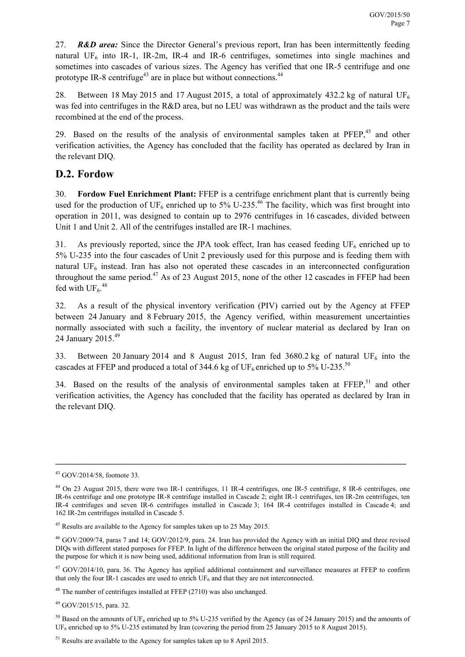27. *R&D area:* Since the Director General's previous report, Iran has been intermittently feeding natural  $UF_6$  into IR-1, IR-2m, IR-4 and IR-6 centrifuges, sometimes into single machines and sometimes into cascades of various sizes. The Agency has verified that one IR-5 centrifuge and one prototype IR-8 centrifuge<sup> $43$ </sup> are in place but without connections.<sup> $44$ </sup>

28. Between 18 May 2015 and 17 August 2015, a total of approximately 432.2 kg of natural UF<sub>6</sub> was fed into centrifuges in the R&D area, but no LEU was withdrawn as the product and the tails were recombined at the end of the process.

29. Based on the results of the analysis of environmental samples taken at  $PFEP<sub>1</sub><sup>45</sup>$  and other verification activities, the Agency has concluded that the facility has operated as declared by Iran in the relevant DIQ.

### **D.2. Fordow**

30. **Fordow Fuel Enrichment Plant:** FFEP is a centrifuge enrichment plant that is currently being used for the production of UF<sub>6</sub> enriched up to 5% U-235.<sup>46</sup> The facility, which was first brought into operation in 2011, was designed to contain up to 2976 centrifuges in 16 cascades, divided between Unit 1 and Unit 2. All of the centrifuges installed are IR-1 machines.

31. As previously reported, since the JPA took effect, Iran has ceased feeding  $UF<sub>6</sub>$  enriched up to 5% U-235 into the four cascades of Unit 2 previously used for this purpose and is feeding them with natural  $UF<sub>6</sub>$  instead. Iran has also not operated these cascades in an interconnected configuration throughout the same period.<sup>47</sup> As of 23 August 2015, none of the other 12 cascades in FFEP had been fed with  $\mathrm{UF_6}.^{48}$ 

32. As a result of the physical inventory verification (PIV) carried out by the Agency at FFEP between 24 January and 8 February 2015, the Agency verified, within measurement uncertainties normally associated with such a facility, the inventory of nuclear material as declared by Iran on 24 January 2015.<sup>49</sup>

33. Between 20 January 2014 and 8 August 2015, Iran fed 3680.2 kg of natural UF<sub>6</sub> into the cascades at FFEP and produced a total of 344.6 kg of  $UF_6$  enriched up to 5% U-235.<sup>50</sup>

34. Based on the results of the analysis of environmental samples taken at  $F F E P$ ,<sup>51</sup> and other verification activities, the Agency has concluded that the facility has operated as declared by Iran in the relevant DIQ.

<sup>43</sup> GOV/2014/58, footnote 33.

<sup>44</sup> On 23 August 2015, there were two IR-1 centrifuges, 11 IR-4 centrifuges, one IR-5 centrifuge, 8 IR-6 centrifuges, one IR-6s centrifuge and one prototype IR-8 centrifuge installed in Cascade 2; eight IR-1 centrifuges, ten IR-2m centrifuges, ten IR-4 centrifuges and seven IR-6 centrifuges installed in Cascade 3; 164 IR-4 centrifuges installed in Cascade 4; and 162 IR-2m centrifuges installed in Cascade 5.

<sup>&</sup>lt;sup>45</sup> Results are available to the Agency for samples taken up to 25 May 2015.

<sup>46</sup> GOV/2009/74, paras 7 and 14; GOV/2012/9, para. 24. Iran has provided the Agency with an initial DIQ and three revised DIQs with different stated purposes for FFEP. In light of the difference between the original stated purpose of the facility and the purpose for which it is now being used, additional information from Iran is still required.

 $47$  GOV/2014/10, para. 36. The Agency has applied additional containment and surveillance measures at FFEP to confirm that only the four IR-1 cascades are used to enrich  $UF<sub>6</sub>$  and that they are not interconnected.

<sup>48</sup> The number of centrifuges installed at FFEP (2710) was also unchanged.

<sup>49</sup> GOV/2015/15, para. 32.

 $50$  Based on the amounts of UF<sub>6</sub> enriched up to 5% U-235 verified by the Agency (as of 24 January 2015) and the amounts of UF<sub>6</sub> enriched up to 5% U-235 estimated by Iran (covering the period from 25 January 2015 to 8 August 2015).

<sup>&</sup>lt;sup>51</sup> Results are available to the Agency for samples taken up to 8 April 2015.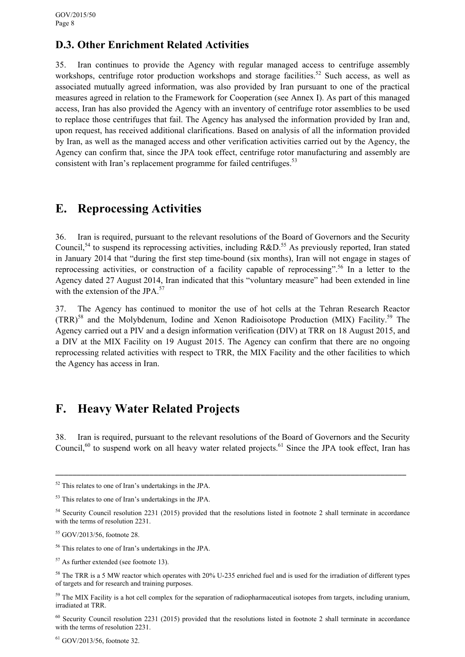### **D.3. Other Enrichment Related Activities**

35. Iran continues to provide the Agency with regular managed access to centrifuge assembly workshops, centrifuge rotor production workshops and storage facilities.<sup>52</sup> Such access, as well as associated mutually agreed information, was also provided by Iran pursuant to one of the practical measures agreed in relation to the Framework for Cooperation (see Annex I). As part of this managed access, Iran has also provided the Agency with an inventory of centrifuge rotor assemblies to be used to replace those centrifuges that fail. The Agency has analysed the information provided by Iran and, upon request, has received additional clarifications. Based on analysis of all the information provided by Iran, as well as the managed access and other verification activities carried out by the Agency, the Agency can confirm that, since the JPA took effect, centrifuge rotor manufacturing and assembly are consistent with Iran's replacement programme for failed centrifuges.<sup>53</sup>

# **E. Reprocessing Activities**

36. Iran is required, pursuant to the relevant resolutions of the Board of Governors and the Security Council,<sup>54</sup> to suspend its reprocessing activities, including R&D.<sup>55</sup> As previously reported, Iran stated in January 2014 that "during the first step time-bound (six months), Iran will not engage in stages of reprocessing activities, or construction of a facility capable of reprocessing".56 In a letter to the Agency dated 27 August 2014, Iran indicated that this "voluntary measure" had been extended in line with the extension of the JPA. $57$ 

37. The Agency has continued to monitor the use of hot cells at the Tehran Research Reactor  $(TRR)^{58}$  and the Molybdenum, Iodine and Xenon Radioisotope Production (MIX) Facility.<sup>59</sup> The Agency carried out a PIV and a design information verification (DIV) at TRR on 18 August 2015, and a DIV at the MIX Facility on 19 August 2015. The Agency can confirm that there are no ongoing reprocessing related activities with respect to TRR, the MIX Facility and the other facilities to which the Agency has access in Iran.

# **F. Heavy Water Related Projects**

38. Iran is required, pursuant to the relevant resolutions of the Board of Governors and the Security Council, $60$  to suspend work on all heavy water related projects. $61$  Since the JPA took effect, Iran has

 $52$  This relates to one of Iran's undertakings in the JPA.

<sup>53</sup> This relates to one of Iran's undertakings in the JPA.

<sup>&</sup>lt;sup>54</sup> Security Council resolution 2231 (2015) provided that the resolutions listed in footnote 2 shall terminate in accordance with the terms of resolution 2231.

<sup>55</sup> GOV/2013/56, footnote 28.

<sup>56</sup> This relates to one of Iran's undertakings in the JPA.

 $57$  As further extended (see footnote 13).

<sup>&</sup>lt;sup>58</sup> The TRR is a 5 MW reactor which operates with 20% U-235 enriched fuel and is used for the irradiation of different types of targets and for research and training purposes.

<sup>&</sup>lt;sup>59</sup> The MIX Facility is a hot cell complex for the separation of radiopharmaceutical isotopes from targets, including uranium, irradiated at TRR.

<sup>&</sup>lt;sup>60</sup> Security Council resolution 2231 (2015) provided that the resolutions listed in footnote 2 shall terminate in accordance with the terms of resolution 2231.

<sup>61</sup> GOV/2013/56, footnote 32.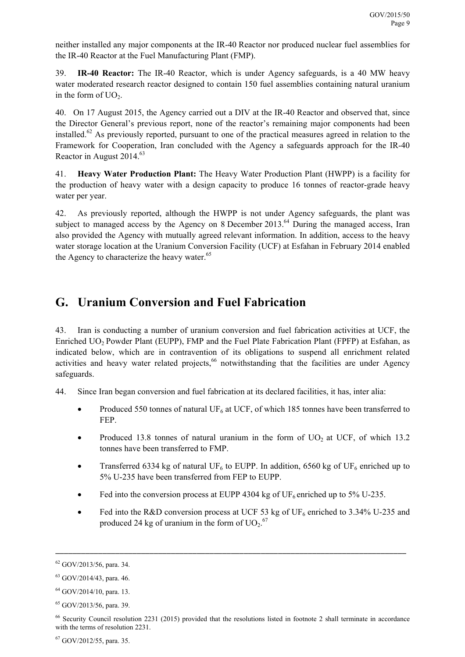neither installed any major components at the IR-40 Reactor nor produced nuclear fuel assemblies for the IR-40 Reactor at the Fuel Manufacturing Plant (FMP).

39. **IR-40 Reactor:** The IR-40 Reactor, which is under Agency safeguards, is a 40 MW heavy water moderated research reactor designed to contain 150 fuel assemblies containing natural uranium in the form of  $UO<sub>2</sub>$ .

40. On 17 August 2015, the Agency carried out a DIV at the IR-40 Reactor and observed that, since the Director General's previous report, none of the reactor's remaining major components had been installed.<sup>62</sup> As previously reported, pursuant to one of the practical measures agreed in relation to the Framework for Cooperation, Iran concluded with the Agency a safeguards approach for the IR-40 Reactor in August 2014.<sup>63</sup>

41. **Heavy Water Production Plant:** The Heavy Water Production Plant (HWPP) is a facility for the production of heavy water with a design capacity to produce 16 tonnes of reactor-grade heavy water per year.

42. As previously reported, although the HWPP is not under Agency safeguards, the plant was subject to managed access by the Agency on 8 December 2013.<sup>64</sup> During the managed access, Iran also provided the Agency with mutually agreed relevant information. In addition, access to the heavy water storage location at the Uranium Conversion Facility (UCF) at Esfahan in February 2014 enabled the Agency to characterize the heavy water.<sup>65</sup>

# **G. Uranium Conversion and Fuel Fabrication**

43. Iran is conducting a number of uranium conversion and fuel fabrication activities at UCF, the Enriched UO<sub>2</sub> Powder Plant (EUPP), FMP and the Fuel Plate Fabrication Plant (FPFP) at Esfahan, as indicated below, which are in contravention of its obligations to suspend all enrichment related activities and heavy water related projects, $66$  notwithstanding that the facilities are under Agency safeguards.

44. Since Iran began conversion and fuel fabrication at its declared facilities, it has, inter alia:

- Produced 550 tonnes of natural UF<sub>6</sub> at UCF, of which 185 tonnes have been transferred to FEP.
- Produced 13.8 tonnes of natural uranium in the form of  $UO<sub>2</sub>$  at UCF, of which 13.2 tonnes have been transferred to FMP.
- Transferred 6334 kg of natural UF<sub>6</sub> to EUPP. In addition, 6560 kg of UF<sub>6</sub> enriched up to 5% U-235 have been transferred from FEP to EUPP.
- Fed into the conversion process at EUPP 4304 kg of  $UF_6$  enriched up to 5% U-235.

\_\_\_\_\_\_\_\_\_\_\_\_\_\_\_\_\_\_\_\_\_\_\_\_\_\_\_\_\_\_\_\_\_\_\_\_\_\_\_\_\_\_\_\_\_\_\_\_\_\_\_\_\_\_\_\_\_\_\_\_\_\_\_\_\_\_\_\_\_\_\_\_\_\_\_\_\_\_\_\_\_\_

Fed into the R&D conversion process at UCF 53 kg of UF<sub>6</sub> enriched to 3.34% U-235 and produced 24 kg of uranium in the form of  $UO_2$ .<sup>67</sup>

 $62$  GOV/2013/56, para. 34.

<sup>63</sup> GOV/2014/43, para. 46.

 $64$  GOV/2014/10, para. 13.

<sup>65</sup> GOV/2013/56, para. 39.

<sup>&</sup>lt;sup>66</sup> Security Council resolution 2231 (2015) provided that the resolutions listed in footnote 2 shall terminate in accordance with the terms of resolution 2231.

 $67$  GOV/2012/55, para. 35.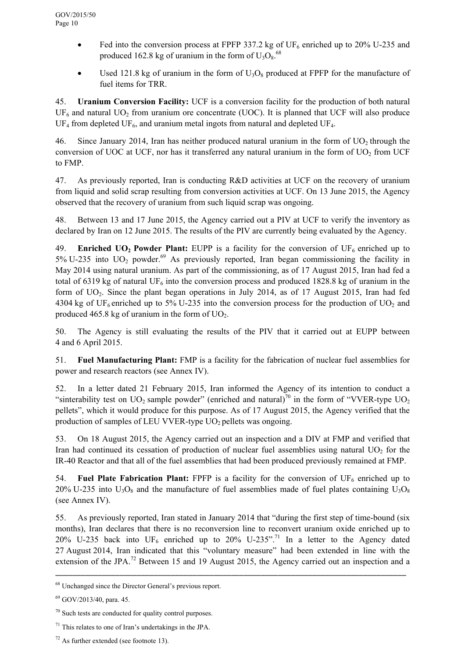- Fed into the conversion process at FPFP 337.2 kg of UF<sub>6</sub> enriched up to 20% U-235 and produced 162.8 kg of uranium in the form of  $U_3O_8$ .<sup>68</sup>
- Used 121.8 kg of uranium in the form of  $U_3O_8$  produced at FPFP for the manufacture of fuel items for TRR.

45. **Uranium Conversion Facility:** UCF is a conversion facility for the production of both natural  $UF<sub>6</sub>$  and natural UO<sub>2</sub> from uranium ore concentrate (UOC). It is planned that UCF will also produce  $UF_4$  from depleted UF<sub>6</sub>, and uranium metal ingots from natural and depleted UF<sub>4</sub>.

46. Since January 2014, Iran has neither produced natural uranium in the form of  $UO<sub>2</sub>$  through the conversion of UOC at UCF, nor has it transferred any natural uranium in the form of  $UO<sub>2</sub>$  from UCF to FMP.

47. As previously reported, Iran is conducting R&D activities at UCF on the recovery of uranium from liquid and solid scrap resulting from conversion activities at UCF. On 13 June 2015, the Agency observed that the recovery of uranium from such liquid scrap was ongoing.

48. Between 13 and 17 June 2015, the Agency carried out a PIV at UCF to verify the inventory as declared by Iran on 12 June 2015. The results of the PIV are currently being evaluated by the Agency.

49. **Enriched UO<sub>2</sub> Powder Plant:** EUPP is a facility for the conversion of UF<sub>6</sub> enriched up to 5% U-235 into  $UO_2$  powder.<sup>69</sup> As previously reported, Iran began commissioning the facility in May 2014 using natural uranium. As part of the commissioning, as of 17 August 2015, Iran had fed a total of 6319 kg of natural UF<sub>6</sub> into the conversion process and produced 1828.8 kg of uranium in the form of  $UO<sub>2</sub>$ . Since the plant began operations in July 2014, as of 17 August 2015, Iran had fed 4304 kg of UF<sub>6</sub> enriched up to 5% U-235 into the conversion process for the production of UO<sub>2</sub> and produced 465.8 kg of uranium in the form of  $UO<sub>2</sub>$ .

50. The Agency is still evaluating the results of the PIV that it carried out at EUPP between 4 and 6 April 2015.

51. **Fuel Manufacturing Plant:** FMP is a facility for the fabrication of nuclear fuel assemblies for power and research reactors (see Annex IV).

52. In a letter dated 21 February 2015, Iran informed the Agency of its intention to conduct a "sinterability test on UO<sub>2</sub> sample powder" (enriched and natural)<sup>70</sup> in the form of "VVER-type UO<sub>2</sub> pellets", which it would produce for this purpose. As of 17 August 2015, the Agency verified that the production of samples of LEU VVER-type UO<sub>2</sub> pellets was ongoing.

53. On 18 August 2015, the Agency carried out an inspection and a DIV at FMP and verified that Iran had continued its cessation of production of nuclear fuel assemblies using natural  $UO<sub>2</sub>$  for the IR-40 Reactor and that all of the fuel assemblies that had been produced previously remained at FMP.

54. **Fuel Plate Fabrication Plant:** FPFP is a facility for the conversion of  $UF_6$  enriched up to 20% U-235 into  $U_3O_8$  and the manufacture of fuel assemblies made of fuel plates containing  $U_3O_8$ (see Annex IV).

55. As previously reported, Iran stated in January 2014 that "during the first step of time-bound (six months), Iran declares that there is no reconversion line to reconvert uranium oxide enriched up to 20% U-235 back into UF<sub>6</sub> enriched up to 20% U-235".<sup>71</sup> In a letter to the Agency dated 27 August 2014, Iran indicated that this "voluntary measure" had been extended in line with the extension of the JPA.<sup>72</sup> Between 15 and 19 August 2015, the Agency carried out an inspection and a

<sup>68</sup> Unchanged since the Director General's previous report.

 $69$  GOV/2013/40, para, 45.

<sup>70</sup> Such tests are conducted for quality control purposes.

 $71$  This relates to one of Iran's undertakings in the JPA.

 $72$  As further extended (see footnote 13).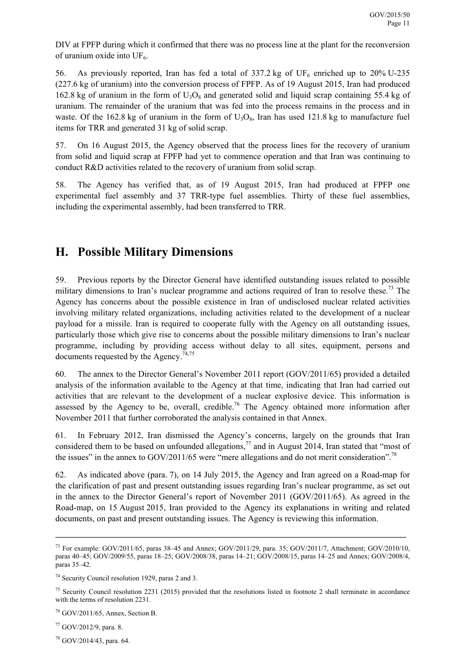DIV at FPFP during which it confirmed that there was no process line at the plant for the reconversion of uranium oxide into  $UF_6$ .

56. As previously reported, Iran has fed a total of  $337.2 \text{ kg}$  of UF<sub>6</sub> enriched up to  $20\%$  U-235 (227.6 kg of uranium) into the conversion process of FPFP. As of 19 August 2015, Iran had produced 162.8 kg of uranium in the form of  $U_3O_8$  and generated solid and liquid scrap containing 55.4 kg of uranium. The remainder of the uranium that was fed into the process remains in the process and in waste. Of the 162.8 kg of uranium in the form of  $U_3O_8$ , Iran has used 121.8 kg to manufacture fuel items for TRR and generated 31 kg of solid scrap.

57. On 16 August 2015, the Agency observed that the process lines for the recovery of uranium from solid and liquid scrap at FPFP had yet to commence operation and that Iran was continuing to conduct R&D activities related to the recovery of uranium from solid scrap.

58. The Agency has verified that, as of 19 August 2015, Iran had produced at FPFP one experimental fuel assembly and 37 TRR-type fuel assemblies. Thirty of these fuel assemblies, including the experimental assembly, had been transferred to TRR.

# **H. Possible Military Dimensions**

59. Previous reports by the Director General have identified outstanding issues related to possible military dimensions to Iran's nuclear programme and actions required of Iran to resolve these.<sup>73</sup> The Agency has concerns about the possible existence in Iran of undisclosed nuclear related activities involving military related organizations, including activities related to the development of a nuclear payload for a missile. Iran is required to cooperate fully with the Agency on all outstanding issues, particularly those which give rise to concerns about the possible military dimensions to Iran's nuclear programme, including by providing access without delay to all sites, equipment, persons and documents requested by the Agency.<sup>74,75</sup>

60. The annex to the Director General's November 2011 report (GOV/2011/65) provided a detailed analysis of the information available to the Agency at that time, indicating that Iran had carried out activities that are relevant to the development of a nuclear explosive device. This information is assessed by the Agency to be, overall, credible.<sup>76</sup> The Agency obtained more information after November 2011 that further corroborated the analysis contained in that Annex.

61. In February 2012, Iran dismissed the Agency's concerns, largely on the grounds that Iran considered them to be based on unfounded allegations, $^{77}$  and in August 2014, Iran stated that "most of the issues" in the annex to  $GOV/2011/65$  were "mere allegations and do not merit consideration".<sup>78</sup>

62. As indicated above (para. 7), on 14 July 2015, the Agency and Iran agreed on a Road-map for the clarification of past and present outstanding issues regarding Iran's nuclear programme, as set out in the annex to the Director General's report of November 2011 (GOV/2011/65). As agreed in the Road-map, on 15 August 2015, Iran provided to the Agency its explanations in writing and related documents, on past and present outstanding issues. The Agency is reviewing this information.

<sup>73</sup> For example: GOV/2011/65, paras 38–45 and Annex; GOV/2011/29, para. 35; GOV/2011/7, Attachment; GOV/2010/10, paras 40–45; GOV/2009/55, paras 18–25; GOV/2008/38, paras 14–21; GOV/2008/15, paras 14–25 and Annex; GOV/2008/4, paras 35–42.

<sup>74</sup> Security Council resolution 1929, paras 2 and 3.

<sup>&</sup>lt;sup>75</sup> Security Council resolution 2231 (2015) provided that the resolutions listed in footnote 2 shall terminate in accordance with the terms of resolution 2231.

<sup>76</sup> GOV/2011/65, Annex, Section B.

<sup>77</sup> GOV/2012/9, para. 8.

 $78$  GOV/2014/43, para. 64.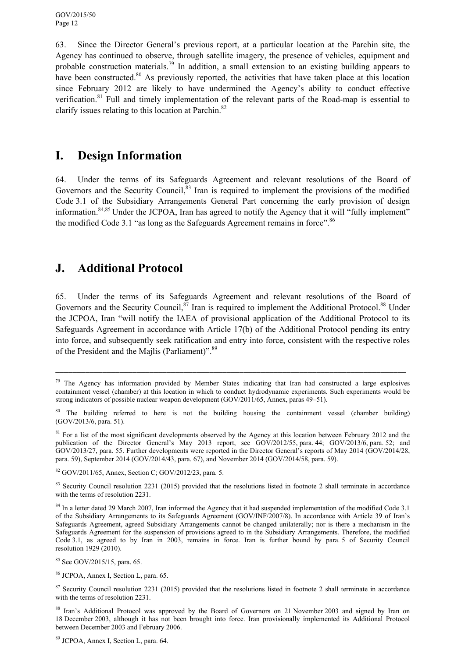63. Since the Director General's previous report, at a particular location at the Parchin site, the Agency has continued to observe, through satellite imagery, the presence of vehicles, equipment and probable construction materials.79 In addition, a small extension to an existing building appears to have been constructed.<sup>80</sup> As previously reported, the activities that have taken place at this location since February 2012 are likely to have undermined the Agency's ability to conduct effective verification.81 Full and timely implementation of the relevant parts of the Road-map is essential to clarify issues relating to this location at Parchin.<sup>82</sup>

# **I. Design Information**

64. Under the terms of its Safeguards Agreement and relevant resolutions of the Board of Governors and the Security Council,<sup>83</sup> Iran is required to implement the provisions of the modified Code 3.1 of the Subsidiary Arrangements General Part concerning the early provision of design information.84,85 Under the JCPOA, Iran has agreed to notify the Agency that it will "fully implement" the modified Code 3.1 "as long as the Safeguards Agreement remains in force".<sup>86</sup>

# **J. Additional Protocol**

65. Under the terms of its Safeguards Agreement and relevant resolutions of the Board of Governors and the Security Council,  $87$  Iran is required to implement the Additional Protocol.<sup>88</sup> Under the JCPOA, Iran "will notify the IAEA of provisional application of the Additional Protocol to its Safeguards Agreement in accordance with Article 17(b) of the Additional Protocol pending its entry into force, and subsequently seek ratification and entry into force, consistent with the respective roles of the President and the Majlis (Parliament)".<sup>89</sup>

\_\_\_\_\_\_\_\_\_\_\_\_\_\_\_\_\_\_\_\_\_\_\_\_\_\_\_\_\_\_\_\_\_\_\_\_\_\_\_\_\_\_\_\_\_\_\_\_\_\_\_\_\_\_\_\_\_\_\_\_\_\_\_\_\_\_\_\_\_\_\_\_\_\_\_\_\_\_\_\_\_\_

89 JCPOA, Annex I, Section L, para. 64.

<sup>&</sup>lt;sup>79</sup> The Agency has information provided by Member States indicating that Iran had constructed a large explosives containment vessel (chamber) at this location in which to conduct hydrodynamic experiments. Such experiments would be strong indicators of possible nuclear weapon development (GOV/2011/65, Annex, paras 49–51).

<sup>&</sup>lt;sup>80</sup> The building referred to here is not the building housing the containment vessel (chamber building) (GOV/2013/6, para. 51).

<sup>&</sup>lt;sup>81</sup> For a list of the most significant developments observed by the Agency at this location between February 2012 and the publication of the Director General's May 2013 report, see GOV/2012/55, para. 44; GOV/2013/6, para. 52; and GOV/2013/27, para. 55. Further developments were reported in the Director General's reports of May 2014 (GOV/2014/28, para. 59), September 2014 (GOV/2014/43, para. 67), and November 2014 (GOV/2014/58, para. 59).

<sup>82</sup> GOV/2011/65, Annex, Section C; GOV/2012/23, para. 5.

<sup>&</sup>lt;sup>83</sup> Security Council resolution 2231 (2015) provided that the resolutions listed in footnote 2 shall terminate in accordance with the terms of resolution 2231.

<sup>&</sup>lt;sup>84</sup> In a letter dated 29 March 2007, Iran informed the Agency that it had suspended implementation of the modified Code 3.1 of the Subsidiary Arrangements to its Safeguards Agreement (GOV/INF/2007/8). In accordance with Article 39 of Iran's Safeguards Agreement, agreed Subsidiary Arrangements cannot be changed unilaterally; nor is there a mechanism in the Safeguards Agreement for the suspension of provisions agreed to in the Subsidiary Arrangements. Therefore, the modified Code 3.1, as agreed to by Iran in 2003, remains in force. Iran is further bound by para. 5 of Security Council resolution 1929 (2010).

<sup>85</sup> See GOV/2015/15, para. 65.

<sup>86</sup> JCPOA, Annex I, Section L, para. 65.

 $87$  Security Council resolution 2231 (2015) provided that the resolutions listed in footnote 2 shall terminate in accordance with the terms of resolution 2231.

<sup>&</sup>lt;sup>88</sup> Iran's Additional Protocol was approved by the Board of Governors on 21 November 2003 and signed by Iran on 18 December 2003, although it has not been brought into force. Iran provisionally implemented its Additional Protocol between December 2003 and February 2006.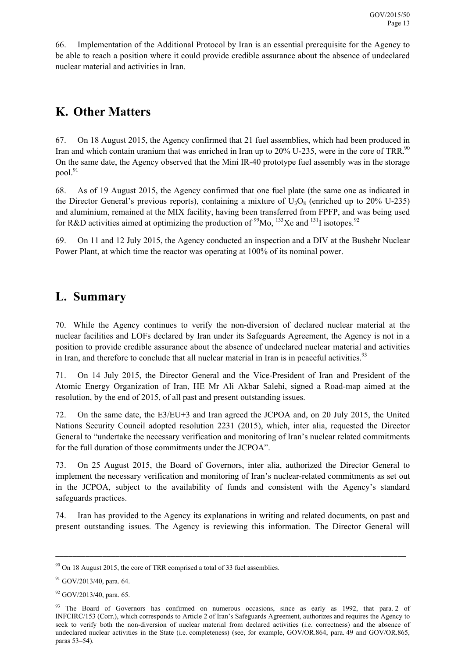66. Implementation of the Additional Protocol by Iran is an essential prerequisite for the Agency to be able to reach a position where it could provide credible assurance about the absence of undeclared nuclear material and activities in Iran.

# **K. Other Matters**

67. On 18 August 2015, the Agency confirmed that 21 fuel assemblies, which had been produced in Iran and which contain uranium that was enriched in Iran up to 20% U-235, were in the core of TRR.<sup>90</sup> On the same date, the Agency observed that the Mini IR-40 prototype fuel assembly was in the storage pool. $91$ 

68. As of 19 August 2015, the Agency confirmed that one fuel plate (the same one as indicated in the Director General's previous reports), containing a mixture of  $U_3O_8$  (enriched up to 20% U-235) and aluminium, remained at the MIX facility, having been transferred from FPFP, and was being used for R&D activities aimed at optimizing the production of  $\frac{99}{3}$ Mo,  $\frac{133}{3}$ Xe and  $\frac{131}{3}$  isotopes.<sup>92</sup>

69. On 11 and 12 July 2015, the Agency conducted an inspection and a DIV at the Bushehr Nuclear Power Plant, at which time the reactor was operating at 100% of its nominal power.

# **L. Summary**

70. While the Agency continues to verify the non-diversion of declared nuclear material at the nuclear facilities and LOFs declared by Iran under its Safeguards Agreement, the Agency is not in a position to provide credible assurance about the absence of undeclared nuclear material and activities in Iran, and therefore to conclude that all nuclear material in Iran is in peaceful activities.<sup>93</sup>

71. On 14 July 2015, the Director General and the Vice-President of Iran and President of the Atomic Energy Organization of Iran, HE Mr Ali Akbar Salehi, signed a Road-map aimed at the resolution, by the end of 2015, of all past and present outstanding issues.

72. On the same date, the E3/EU+3 and Iran agreed the JCPOA and, on 20 July 2015, the United Nations Security Council adopted resolution 2231 (2015), which, inter alia, requested the Director General to "undertake the necessary verification and monitoring of Iran's nuclear related commitments for the full duration of those commitments under the JCPOA".

73. On 25 August 2015, the Board of Governors, inter alia, authorized the Director General to implement the necessary verification and monitoring of Iran's nuclear-related commitments as set out in the JCPOA, subject to the availability of funds and consistent with the Agency's standard safeguards practices.

74. Iran has provided to the Agency its explanations in writing and related documents, on past and present outstanding issues. The Agency is reviewing this information. The Director General will

 $90$  On 18 August 2015, the core of TRR comprised a total of 33 fuel assemblies.

 $91$  GOV/2013/40, para. 64.

<sup>92</sup> GOV/2013/40, para. 65.

<sup>&</sup>lt;sup>93</sup> The Board of Governors has confirmed on numerous occasions, since as early as 1992, that para. 2 of INFCIRC/153 (Corr.), which corresponds to Article 2 of Iran's Safeguards Agreement, authorizes and requires the Agency to seek to verify both the non-diversion of nuclear material from declared activities (i.e. correctness) and the absence of undeclared nuclear activities in the State (i.e. completeness) (see, for example, GOV/OR.864, para. 49 and GOV/OR.865, paras 53–54).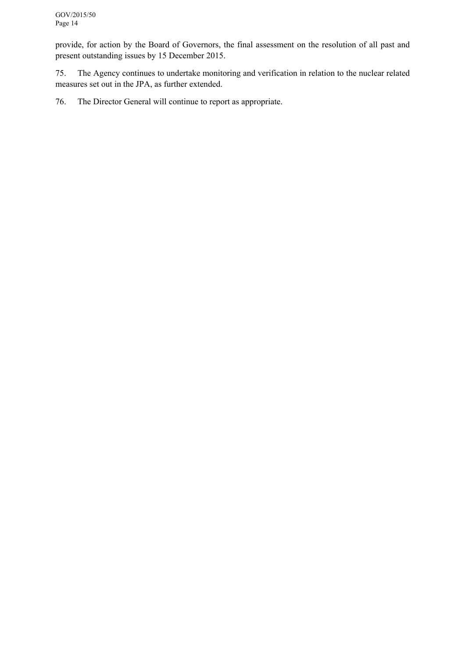provide, for action by the Board of Governors, the final assessment on the resolution of all past and present outstanding issues by 15 December 2015.

75. The Agency continues to undertake monitoring and verification in relation to the nuclear related measures set out in the JPA, as further extended.

76. The Director General will continue to report as appropriate.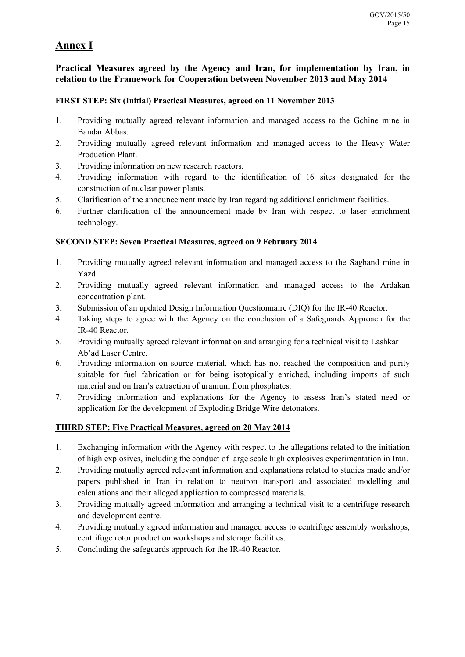### **Annex I**

### **Practical Measures agreed by the Agency and Iran, for implementation by Iran, in relation to the Framework for Cooperation between November 2013 and May 2014**

### **FIRST STEP: Six (Initial) Practical Measures, agreed on 11 November 2013**

- 1. Providing mutually agreed relevant information and managed access to the Gchine mine in Bandar Abbas.
- 2. Providing mutually agreed relevant information and managed access to the Heavy Water Production Plant.
- 3. Providing information on new research reactors.
- 4. Providing information with regard to the identification of 16 sites designated for the construction of nuclear power plants.
- 5. Clarification of the announcement made by Iran regarding additional enrichment facilities.
- 6. Further clarification of the announcement made by Iran with respect to laser enrichment technology.

### **SECOND STEP: Seven Practical Measures, agreed on 9 February 2014**

- 1. Providing mutually agreed relevant information and managed access to the Saghand mine in Yazd.
- 2. Providing mutually agreed relevant information and managed access to the Ardakan concentration plant.
- 3. Submission of an updated Design Information Questionnaire (DIQ) for the IR-40 Reactor.
- 4. Taking steps to agree with the Agency on the conclusion of a Safeguards Approach for the IR-40 Reactor.
- 5. Providing mutually agreed relevant information and arranging for a technical visit to Lashkar Ab'ad Laser Centre.
- 6. Providing information on source material, which has not reached the composition and purity suitable for fuel fabrication or for being isotopically enriched, including imports of such material and on Iran's extraction of uranium from phosphates.
- 7. Providing information and explanations for the Agency to assess Iran's stated need or application for the development of Exploding Bridge Wire detonators.

### **THIRD STEP: Five Practical Measures, agreed on 20 May 2014**

- 1. Exchanging information with the Agency with respect to the allegations related to the initiation of high explosives, including the conduct of large scale high explosives experimentation in Iran.
- 2. Providing mutually agreed relevant information and explanations related to studies made and/or papers published in Iran in relation to neutron transport and associated modelling and calculations and their alleged application to compressed materials.
- 3. Providing mutually agreed information and arranging a technical visit to a centrifuge research and development centre.
- 4. Providing mutually agreed information and managed access to centrifuge assembly workshops, centrifuge rotor production workshops and storage facilities.
- 5. Concluding the safeguards approach for the IR-40 Reactor.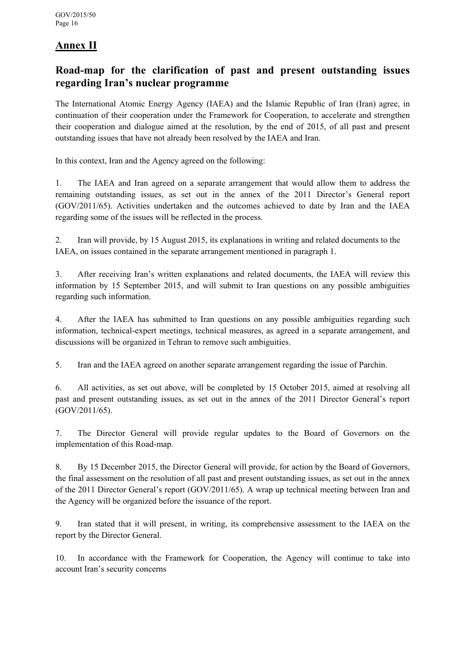## **Annex II**

### **Road-map for the clarification of past and present outstanding issues regarding Iran's nuclear programme**

The International Atomic Energy Agency (IAEA) and the Islamic Republic of Iran (Iran) agree, in continuation of their cooperation under the Framework for Cooperation, to accelerate and strengthen their cooperation and dialogue aimed at the resolution, by the end of 2015, of all past and present outstanding issues that have not already been resolved by the IAEA and Iran.

In this context, Iran and the Agency agreed on the following:

1. The IAEA and Iran agreed on a separate arrangement that would allow them to address the remaining outstanding issues, as set out in the annex of the 2011 Director's General report (GOV/2011/65). Activities undertaken and the outcomes achieved to date by Iran and the IAEA regarding some of the issues will be reflected in the process.

2. Iran will provide, by 15 August 2015, its explanations in writing and related documents to the IAEA, on issues contained in the separate arrangement mentioned in paragraph 1.

3. After receiving Iran's written explanations and related documents, the IAEA will review this information by 15 September 2015, and will submit to Iran questions on any possible ambiguities regarding such information.

4. After the IAEA has submitted to Iran questions on any possible ambiguities regarding such information, technical-expert meetings, technical measures, as agreed in a separate arrangement, and discussions will be organized in Tehran to remove such ambiguities.

5. Iran and the IAEA agreed on another separate arrangement regarding the issue of Parchin.

6. All activities, as set out above, will be completed by 15 October 2015, aimed at resolving all past and present outstanding issues, as set out in the annex of the 2011 Director General's report (GOV/2011/65).

7. The Director General will provide regular updates to the Board of Governors on the implementation of this Road-map.

8. By 15 December 2015, the Director General will provide, for action by the Board of Governors, the final assessment on the resolution of all past and present outstanding issues, as set out in the annex of the 2011 Director General's report (GOV/2011/65). A wrap up technical meeting between Iran and the Agency will be organized before the issuance of the report.

9. Iran stated that it will present, in writing, its comprehensive assessment to the IAEA on the report by the Director General.

10. In accordance with the Framework for Cooperation, the Agency will continue to take into account Iran's security concerns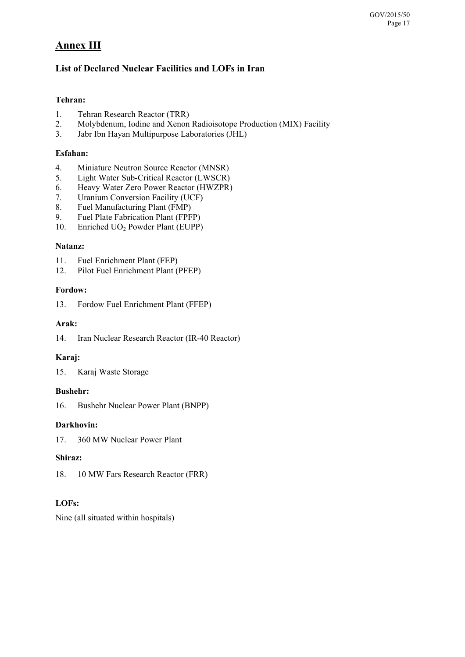## **Annex III**

### **List of Declared Nuclear Facilities and LOFs in Iran**

### **Tehran:**

- 1. Tehran Research Reactor (TRR)
- 2. Molybdenum, Iodine and Xenon Radioisotope Production (MIX) Facility
- 3. Jabr Ibn Hayan Multipurpose Laboratories (JHL)

#### **Esfahan:**

- 4. Miniature Neutron Source Reactor (MNSR)
- 5. Light Water Sub-Critical Reactor (LWSCR)
- 6. Heavy Water Zero Power Reactor (HWZPR)
- 7. Uranium Conversion Facility (UCF)
- 8. Fuel Manufacturing Plant (FMP)
- 9. Fuel Plate Fabrication Plant (FPFP)
- 10. Enriched UO<sub>2</sub> Powder Plant (EUPP)

#### **Natanz:**

- 11. Fuel Enrichment Plant (FEP)
- 12. Pilot Fuel Enrichment Plant (PFEP)

#### **Fordow:**

13. Fordow Fuel Enrichment Plant (FFEP)

#### **Arak:**

14. Iran Nuclear Research Reactor (IR-40 Reactor)

#### **Karaj:**

15. Karaj Waste Storage

### **Bushehr:**

16. Bushehr Nuclear Power Plant (BNPP)

#### **Darkhovin:**

17. 360 MW Nuclear Power Plant

#### **Shiraz:**

18. 10 MW Fars Research Reactor (FRR)

### **LOFs:**

Nine (all situated within hospitals)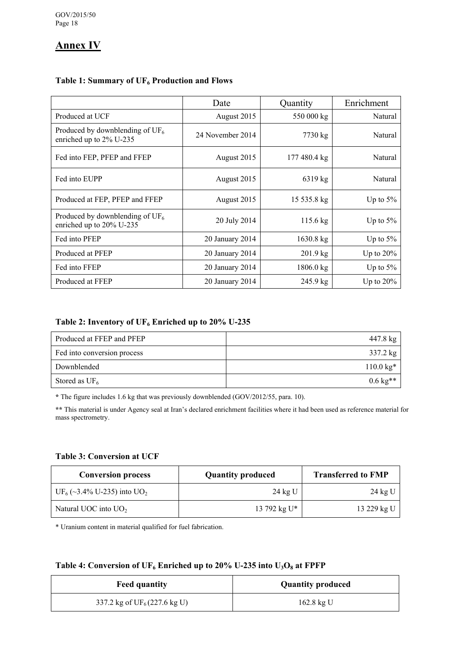## **Annex IV**

|                                                                | Date             | Quantity           | Enrichment   |  |
|----------------------------------------------------------------|------------------|--------------------|--------------|--|
| Produced at UCF                                                | August 2015      | 550 000 kg         | Natural      |  |
| Produced by downblending of $UF_6$<br>enriched up to 2% U-235  | 24 November 2014 | 7730 kg            | Natural      |  |
| Fed into FEP, PFEP and FFEP                                    | August 2015      | 177 480.4 kg       | Natural      |  |
| Fed into EUPP                                                  | August 2015      | 6319 kg            | Natural      |  |
| Produced at FEP, PFEP and FFEP                                 | August 2015      | 15 535.8 kg        | Up to $5\%$  |  |
| Produced by downblending of $UF_6$<br>enriched up to 20% U-235 | 20 July 2014     | $115.6 \text{ kg}$ | Up to $5\%$  |  |
| Fed into PFEP                                                  | 20 January 2014  | $1630.8$ kg        | Up to $5\%$  |  |
| Produced at PFEP                                               | 20 January 2014  | $201.9 \text{ kg}$ | Up to $20\%$ |  |
| Fed into FFEP                                                  | 20 January 2014  | $1806.0$ kg        | Up to $5\%$  |  |
| Produced at FFEP                                               | 20 January 2014  | 245.9 kg           | Up to $20\%$ |  |

### Table 1: Summary of UF<sub>6</sub> Production and Flows

#### Table 2: Inventory of UF<sub>6</sub> Enriched up to 20% U-235

| Produced at FFEP and PFEP   | 447.8 kg              |
|-----------------------------|-----------------------|
| Fed into conversion process | 337.2 kg              |
| Downblended                 | $110.0 \text{ kg}^*$  |
| Stored as $UF_6$            | $0.6 \text{ kg}^{**}$ |

**\*** The figure includes 1.6 kg that was previously downblended (GOV/2012/55, para. 10).

**\*\*** This material is under Agency seal at Iran's declared enrichment facilities where it had been used as reference material for mass spectrometry.

### **Table 3: Conversion at UCF**

| <b>Conversion process</b>                          | <b>Quantity produced</b> | <b>Transferred to FMP</b> |
|----------------------------------------------------|--------------------------|---------------------------|
| UF <sub>6</sub> (~3.4% U-235) into UO <sub>2</sub> | 24 kg U                  | 24 kg U                   |
| Natural UOC into $UO2$                             | 13 792 kg U*             | 13 229 kg U               |

\* Uranium content in material qualified for fuel fabrication.

#### Table 4: Conversion of  $UF_6$  Enriched up to 20% U-235 into  $U_3O_8$  at FPFP

| <b>Feed quantity</b>                   | <b>Quantity produced</b> |  |  |
|----------------------------------------|--------------------------|--|--|
| 337.2 kg of $UF_6(227.6 \text{ kg U})$ | 162.8 kg U               |  |  |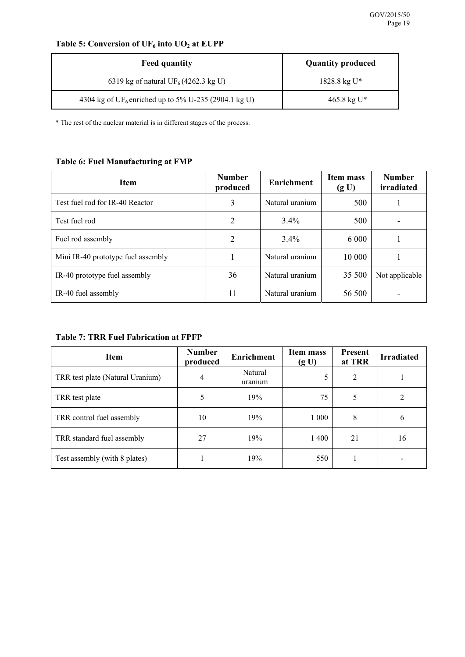## Table 5: Conversion of UF<sub>6</sub> into UO<sub>2</sub> at EUPP

| <b>Feed quantity</b>                                             | <b>Quantity produced</b> |  |  |
|------------------------------------------------------------------|--------------------------|--|--|
| 6319 kg of natural UF <sub>6</sub> (4262.3 kg U)                 | $1828.8 \text{ kg U*}$   |  |  |
| 4304 kg of UF <sub>6</sub> enriched up to 5% U-235 (2904.1 kg U) | $465.8 \text{ kg U}^*$   |  |  |

\* The rest of the nuclear material is in different stages of the process.

### **Table 6: Fuel Manufacturing at FMP**

| <b>Item</b>                        | <b>Number</b><br>produced | <b>Enrichment</b> | <b>Item mass</b><br>(g U) | <b>Number</b><br>irradiated |
|------------------------------------|---------------------------|-------------------|---------------------------|-----------------------------|
| Test fuel rod for IR-40 Reactor    | 3                         | Natural uranium   | 500                       |                             |
| Test fuel rod                      | 2                         | 3.4%              | 500                       |                             |
| Fuel rod assembly                  | 2                         | $3.4\%$           | 6 000                     |                             |
| Mini IR-40 prototype fuel assembly |                           | Natural uranium   | 10 000                    |                             |
| IR-40 prototype fuel assembly      | 36                        | Natural uranium   | 35 500                    | Not applicable              |
| IR-40 fuel assembly                | 11                        | Natural uranium   | 56 500                    |                             |

#### **Table 7: TRR Fuel Fabrication at FPFP**

| <b>Item</b>                      | <b>Number</b><br>produced | <b>Enrichment</b>  | Item mass<br>(g U) | <b>Present</b><br>at TRR | <b>Irradiated</b> |
|----------------------------------|---------------------------|--------------------|--------------------|--------------------------|-------------------|
| TRR test plate (Natural Uranium) | 4                         | Natural<br>uranium | 5                  | 2                        |                   |
| TRR test plate                   |                           | 19%                | 75                 | 5                        |                   |
| TRR control fuel assembly        | 10                        | 19%                | 1 0 0 0            | 8                        | 6                 |
| TRR standard fuel assembly       | 27                        | 19%                | 1400               | 21                       | 16                |
| Test assembly (with 8 plates)    |                           | 19%                | 550                |                          |                   |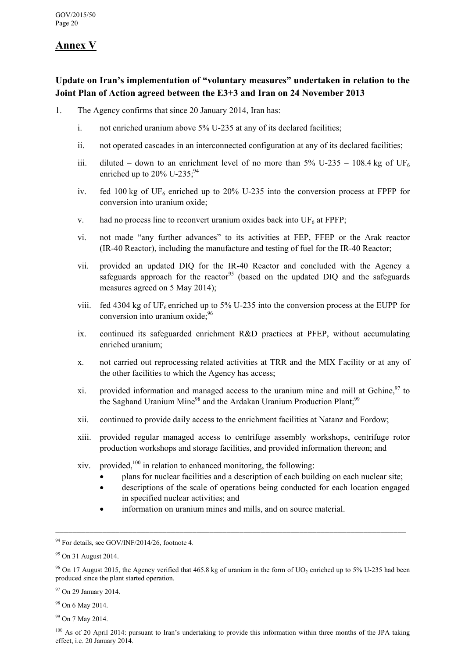## **Annex V**

### **Update on Iran's implementation of "voluntary measures" undertaken in relation to the Joint Plan of Action agreed between the E3+3 and Iran on 24 November 2013**

- 1. The Agency confirms that since 20 January 2014, Iran has:
	- i. not enriched uranium above 5% U-235 at any of its declared facilities;
	- ii. not operated cascades in an interconnected configuration at any of its declared facilities;
	- iii. diluted down to an enrichment level of no more than  $5\%$  U-235 108.4 kg of UF<sub>6</sub> enriched up to  $20\%$  U-235;<sup>94</sup>
	- iv. fed 100 kg of UF<sub>6</sub> enriched up to 20% U-235 into the conversion process at FPFP for conversion into uranium oxide;
	- v. had no process line to reconvert uranium oxides back into  $UF<sub>6</sub>$  at FPFP;
	- vi. not made "any further advances" to its activities at FEP, FFEP or the Arak reactor (IR-40 Reactor), including the manufacture and testing of fuel for the IR-40 Reactor;
	- vii. provided an updated DIQ for the IR-40 Reactor and concluded with the Agency a safeguards approach for the reactor<sup>95</sup> (based on the updated DIQ and the safeguards measures agreed on 5 May 2014);
	- viii. fed 4304 kg of UF<sub>6</sub> enriched up to 5% U-235 into the conversion process at the EUPP for conversion into uranium oxide; $96$
	- ix. continued its safeguarded enrichment R&D practices at PFEP, without accumulating enriched uranium;
	- x. not carried out reprocessing related activities at TRR and the MIX Facility or at any of the other facilities to which the Agency has access;
	- xi. provided information and managed access to the uranium mine and mill at Gchine,  $97$  to the Saghand Uranium Mine<sup>98</sup> and the Ardakan Uranium Production Plant;<sup>99</sup>
	- xii. continued to provide daily access to the enrichment facilities at Natanz and Fordow;
	- xiii. provided regular managed access to centrifuge assembly workshops, centrifuge rotor production workshops and storage facilities, and provided information thereon; and
	- xiv. provided, $100$  in relation to enhanced monitoring, the following:
		- plans for nuclear facilities and a description of each building on each nuclear site;
		- descriptions of the scale of operations being conducted for each location engaged in specified nuclear activities; and
		- information on uranium mines and mills, and on source material.

<sup>&</sup>lt;sup>94</sup> For details, see GOV/INF/2014/26, footnote 4.

<sup>&</sup>lt;sup>95</sup> On 31 August 2014.

<sup>&</sup>lt;sup>96</sup> On 17 August 2015, the Agency verified that 465.8 kg of uranium in the form of UO<sub>2</sub> enriched up to 5% U-235 had been produced since the plant started operation.

<sup>&</sup>lt;sup>97</sup> On 29 January 2014.

<sup>98</sup> On 6 May 2014.

<sup>99</sup> On 7 May 2014.

<sup>&</sup>lt;sup>100</sup> As of 20 April 2014: pursuant to Iran's undertaking to provide this information within three months of the JPA taking effect, i.e. 20 January 2014.